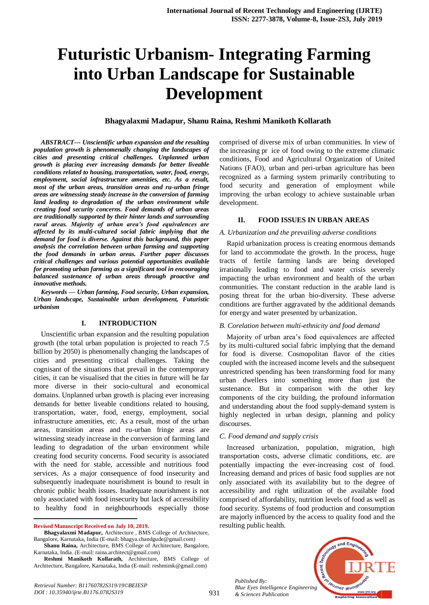# **Futuristic Urbanism- Integrating Farming into Urban Landscape for Sustainable Development**

#### **Bhagyalaxmi Madapur, Shanu Raina, Reshmi Manikoth Kollarath**

*ABSTRACT--- Unscientific urban expansion and the resulting population growth is phenomenally changing the landscapes of cities and presenting critical challenges. Unplanned urban growth is placing ever increasing demands for better liveable conditions related to housing, transportation, water, food, energy, employment, social infrastructure amenities, etc. As a result, most of the urban areas, transition areas and ru-urban fringe areas are witnessing steady increase in the conversion of farming land leading to degradation of the urban environment while creating food security concerns. Food demands of urban areas are traditionally supported by their hinter lands and surrounding rural areas. Majority of urban area's food equivalences are affected by its multi-cultured social fabric implying that the demand for food is diverse. Against this background, this paper analysis the correlation between urban farming and supporting the food demands in urban areas. Further paper discusses critical challenges and various potential opportunities available for promoting urban farming as a significant tool in encouraging balanced sustenance of urban areas through proactive and innovative methods.*

*Keywords — Urban farming, Food security, Urban expansion, Urban landscape, Sustainable urban development, Futuristic urbanism*

#### **I. INTRODUCTION**

Unscientific urban expansion and the resulting population growth (the total urban population is projected to reach 7.5 billion by 2050) is phenomenally changing the landscapes of cities and presenting critical challenges. Taking the cognisant of the situations that prevail in the contemporary cities, it can be visualised that the cities in future will be far more diverse in their socio-cultural and economical domains. Unplanned urban growth is placing ever increasing demands for better liveable conditions related to housing, transportation, water, food, energy, employment, social infrastructure amenities, etc. As a result, most of the urban areas, transition areas and ru-urban fringe areas are witnessing steady increase in the conversion of farming land leading to degradation of the urban environment while creating food security concerns. Food security is associated with the need for stable, accessible and nutritious food services. As a major consequence of food insecurity and subsequently inadequate nourishment is bound to result in chronic public health issues. Inadequate nourishment is not only associated with food insecurity but lack of accessibility to healthy food in neighbourhoods especially those

**Revised Manuscript Received on July 10, 2019.**

 $\overline{a}$ 

*Retrieval Number: B11760782S319/19©BEIESP DOI : 10.35940/ijrte.B1176.0782S319*

comprised of diverse mix of urban communities. In view of the increasing pr ice of food owing to the extreme climatic conditions, Food and Agricultural Organization of United Nations (FAO), urban and peri-urban agriculture has been recognized as a farming system primarily contributing to food security and generation of employment while improving the urban ecology to achieve sustainable urban development.

#### **II. FOOD ISSUES IN URBAN AREAS**

#### *A. Urbanization and the prevailing adverse conditions*

Rapid urbanization process is creating enormous demands for land to accommodate the growth. In the process, huge tracts of fertile farming lands are being developed irrationally leading to food and water crisis severely impacting the urban environment and health of the urban communities. The constant reduction in the arable land is posing threat for the urban bio-diversity. These adverse conditions are further aggravated by the additional demands for energy and water presented by urbanization.

#### *B. Corelation between multi-ethnicity and food demand*

Majority of urban area's food equivalences are affected by its multi-cultured social fabric implying that the demand for food is diverse. Cosmopolitan flavor of the cities coupled with the increased income levels and the subsequent unrestricted spending has been transforming food for many urban dwellers into something more than just the sustenance. But in comparison with the other key components of the city building, the profound information and understanding about the food supply-demand system is highly neglected in urban design, planning and policy discourses.

#### *C. Food demand and supply crisis*

Increased urbanization, population, migration, high transportation costs, adverse climatic conditions, etc. are potentially impacting the ever-increasing cost of food. Increasing demand and prices of basic food supplies are not only associated with its availability but to the degree of accessibility and right utilization of the available food comprised of affordability, nutrition levels of food as well as food security. Systems of food production and consumption are majorly influenced by the access to quality food and the resulting public health.

*Published By: Blue Eyes Intelligence Engineering & Sciences Publication* 



**Bhagyalaxmi Madapur,** Architecture , BMS College of Architecture, Bangalore, Karnataka, India (E-mail: bhagya.chandgude@gmail.com)

**Shanu Raina,** Architecture, BMS College of Architecture, Bangalore, Karnataka, India. (E-mail: raina.architect@gmail.com)

**Reshmi Manikoth Kollarath,** Architecture, BMS College of Architecture, Bangalore, Karnataka, India (E-mail: reshmimk@gmail.com)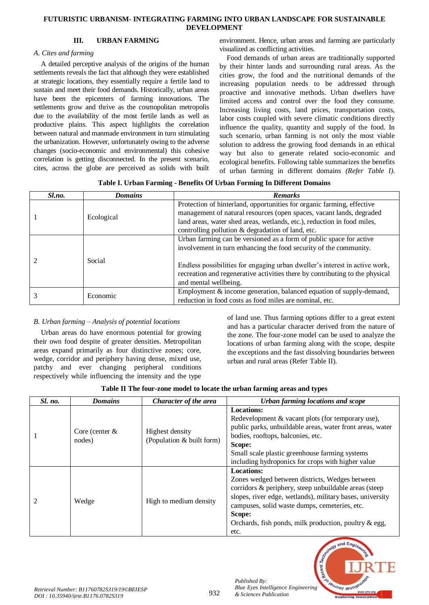#### **III. URBAN FARMING**

#### *A. Cites and farming*

A detailed perceptive analysis of the origins of the human settlements reveals the fact that although they were established at strategic locations, they essentially require a fertile land to sustain and meet their food demands. Historically, urban areas have been the epicenters of farming innovations. The settlements grow and thrive as the cosmopolitan metropolis due to the availability of the most fertile lands as well as productive plains. This aspect highlights the correlation between natural and manmade environment in turn stimulating the urbanization. However, unfortunately owing to the adverse changes (socio-economic and environmental) this cohesive correlation is getting disconnected. In the present scenario, cites, across the globe are perceived as solids with built

environment. Hence, urban areas and farming are particularly visualized as conflicting activities.

Food demands of urban areas are traditionally supported by their hinter lands and surrounding rural areas. As the cities grow, the food and the nutritional demands of the increasing population needs to be addressed through proactive and innovative methods. Urban dwellers have limited access and control over the food they consume. Increasing living costs, land prices, transportation costs, labor costs coupled with severe climatic conditions directly influence the quality, quantity and supply of the food. In such scenario, urban farming is not only the most viable solution to address the growing food demands in an ethical way but also to generate related socio-economic and ecological benefits. Following table summarizes the benefits of urban farming in different domains *(Refer Table I)*.

|  |  |  |  | Table I. Urban Farming - Benefits Of Urban Forming In Different Domains |  |
|--|--|--|--|-------------------------------------------------------------------------|--|
|  |  |  |  |                                                                         |  |

| Sl.no. | <b>Domains</b> | <b>Remarks</b>                                                                                                                                                                       |
|--------|----------------|--------------------------------------------------------------------------------------------------------------------------------------------------------------------------------------|
|        |                | Protection of hinterland, opportunities for organic farming, effective                                                                                                               |
|        | Ecological     | management of natural resources (open spaces, vacant lands, degraded                                                                                                                 |
|        |                | land areas, water shed areas, wetlands, etc.), reduction in food miles,                                                                                                              |
|        |                | controlling pollution & degradation of land, etc.                                                                                                                                    |
|        |                | Urban farming can be versioned as a form of public space for active                                                                                                                  |
|        |                | involvement in turn enhancing the food security of the community.                                                                                                                    |
|        | Social         | Endless possibilities for engaging urban dweller's interest in active work,<br>recreation and regenerative activities there by contributing to the physical<br>and mental wellbeing. |
|        | Economic       | Employment $&$ income generation, balanced equation of supply-demand,                                                                                                                |
|        |                | reduction in food costs as food miles are nominal, etc.                                                                                                                              |

# *B. Urban farming – Analysis of potential locations*

Urban areas do have enormous potential for growing their own food despite of greater densities. Metropolitan areas expand primarily as four distinctive zones; core, wedge, corridor and periphery having dense, mixed use, patchy and ever changing peripheral conditions respectively while influencing the intensity and the type

of land use. Thus farming options differ to a great extent and has a particular character derived from the nature of the zone. The four-zone model can be used to analyze the locations of urban farming along with the scope, despite the exceptions and the fast dissolving boundaries between urban and rural areas (Refer Table II).

| Table II The four-zone model to locate the urban farming areas and types |  |  |  |  |
|--------------------------------------------------------------------------|--|--|--|--|
|--------------------------------------------------------------------------|--|--|--|--|

| Sl. no. | <b>Domains</b>             | Character of the area                        | Urban farming locations and scope                                                                                                                                                                                                                                                                                     |
|---------|----------------------------|----------------------------------------------|-----------------------------------------------------------------------------------------------------------------------------------------------------------------------------------------------------------------------------------------------------------------------------------------------------------------------|
|         | Core (center $&$<br>nodes) | Highest density<br>(Population & built form) | <b>Locations:</b><br>Redevelopment & vacant plots (for temporary use),<br>public parks, unbuildable areas, water front areas, water<br>bodies, rooftops, balconies, etc.<br>Scope:<br>Small scale plastic greenhouse farming systems<br>including hydroponics for crops with higher value                             |
|         | Wedge                      | High to medium density                       | <b>Locations:</b><br>Zones wedged between districts, Wedges between<br>corridors & periphery, steep unbuildable areas (steep<br>slopes, river edge, wetlands), military bases, university<br>campuses, solid waste dumps, cemeteries, etc.<br>Scope:<br>Orchards, fish ponds, milk production, poultry & egg,<br>etc. |



*Published By:*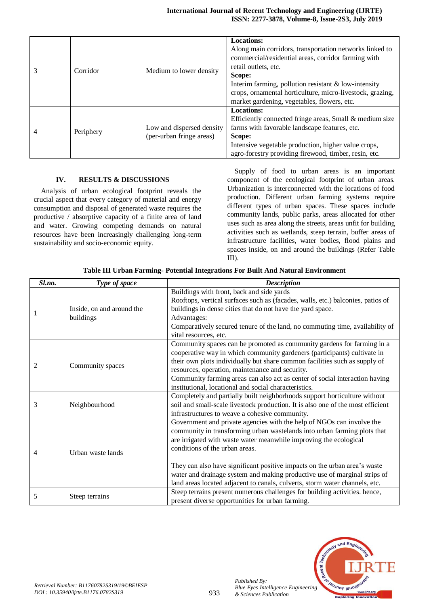|   | Corridor  | Medium to lower density                               | <b>Locations:</b><br>Along main corridors, transportation networks linked to<br>commercial/residential areas, corridor farming with<br>retail outlets, etc.<br>Scope:<br>Interim farming, pollution resistant $\&$ low-intensity<br>crops, ornamental horticulture, micro-livestock, grazing,<br>market gardening, vegetables, flowers, etc. |
|---|-----------|-------------------------------------------------------|----------------------------------------------------------------------------------------------------------------------------------------------------------------------------------------------------------------------------------------------------------------------------------------------------------------------------------------------|
| 4 | Periphery | Low and dispersed density<br>(per-urban fringe areas) | <b>Locations:</b><br>Efficiently connected fringe areas, Small & medium size<br>farms with favorable landscape features, etc.<br>Scope:<br>Intensive vegetable production, higher value crops,<br>agro-forestry providing firewood, timber, resin, etc.                                                                                      |

#### **IV. RESULTS & DISCUSSIONS**

Analysis of urban ecological footprint reveals the crucial aspect that every category of material and energy consumption and disposal of generated waste requires the productive / absorptive capacity of a finite area of land and water. Growing competing demands on natural resources have been increasingly challenging long-term sustainability and socio-economic equity.

Supply of food to urban areas is an important component of the ecological footprint of urban areas. Urbanization is interconnected with the locations of food production. Different urban farming systems require different types of urban spaces. These spaces include community lands, public parks, areas allocated for other uses such as area along the streets, areas unfit for building activities such as wetlands, steep terrain, buffer areas of infrastructure facilities, water bodies, flood plains and spaces inside, on and around the buildings (Refer Table III).

| Sl.no. | Type of space                          | <b>Description</b>                                                                                                                                                                                                                                                                                                                                                                                                                                                                                |
|--------|----------------------------------------|---------------------------------------------------------------------------------------------------------------------------------------------------------------------------------------------------------------------------------------------------------------------------------------------------------------------------------------------------------------------------------------------------------------------------------------------------------------------------------------------------|
|        | Inside, on and around the<br>buildings | Buildings with front, back and side yards<br>Rooftops, vertical surfaces such as (facades, walls, etc.) balconies, patios of<br>buildings in dense cities that do not have the yard space.<br>Advantages:<br>Comparatively secured tenure of the land, no commuting time, availability of<br>vital resources, etc.                                                                                                                                                                                |
| 2      | Community spaces                       | Community spaces can be promoted as community gardens for farming in a<br>cooperative way in which community gardeners (participants) cultivate in<br>their own plots individually but share common facilities such as supply of<br>resources, operation, maintenance and security.<br>Community farming areas can also act as center of social interaction having<br>institutional, locational and social characteristics.                                                                       |
| 3      | Neighbourhood                          | Completely and partially built neighborhoods support horticulture without<br>soil and small-scale livestock production. It is also one of the most efficient<br>infrastructures to weave a cohesive community.                                                                                                                                                                                                                                                                                    |
| 4      | Urban waste lands                      | Government and private agencies with the help of NGOs can involve the<br>community in transforming urban wastelands into urban farming plots that<br>are irrigated with waste water meanwhile improving the ecological<br>conditions of the urban areas.<br>They can also have significant positive impacts on the urban area's waste<br>water and drainage system and making productive use of marginal strips of<br>land areas located adjacent to canals, culverts, storm water channels, etc. |
| 5      | Steep terrains                         | Steep terrains present numerous challenges for building activities. hence,<br>present diverse opportunities for urban farming.                                                                                                                                                                                                                                                                                                                                                                    |

**Table III Urban Farming- Potential Integrations For Built And Natural Environment**



*Published By:*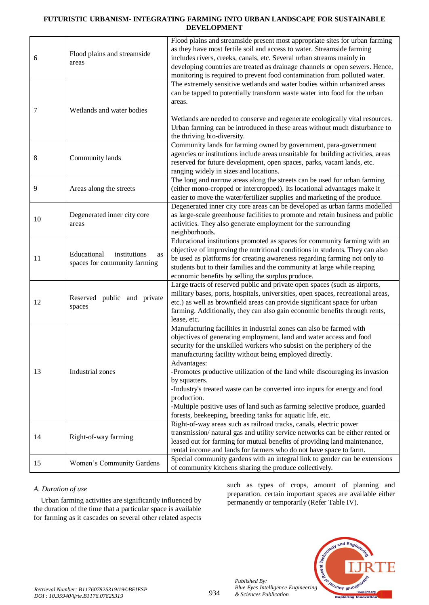|    |                                                                   | Flood plains and streamside present most appropriate sites for urban farming                                                                          |
|----|-------------------------------------------------------------------|-------------------------------------------------------------------------------------------------------------------------------------------------------|
|    | Flood plains and streamside                                       | as they have most fertile soil and access to water. Streamside farming                                                                                |
| 6  | areas                                                             | includes rivers, creeks, canals, etc. Several urban streams mainly in<br>developing countries are treated as drainage channels or open sewers. Hence, |
|    |                                                                   | monitoring is required to prevent food contamination from polluted water.                                                                             |
|    |                                                                   | The extremely sensitive wetlands and water bodies within urbanized areas                                                                              |
|    |                                                                   | can be tapped to potentially transform waste water into food for the urban                                                                            |
|    |                                                                   | areas.                                                                                                                                                |
| 7  | Wetlands and water bodies                                         |                                                                                                                                                       |
|    |                                                                   | Wetlands are needed to conserve and regenerate ecologically vital resources.                                                                          |
|    |                                                                   | Urban farming can be introduced in these areas without much disturbance to                                                                            |
|    |                                                                   | the thriving bio-diversity.                                                                                                                           |
|    |                                                                   | Community lands for farming owned by government, para-government                                                                                      |
|    |                                                                   | agencies or institutions include areas unsuitable for building activities, areas                                                                      |
| 8  | Community lands                                                   | reserved for future development, open spaces, parks, vacant lands, etc.                                                                               |
|    |                                                                   | ranging widely in sizes and locations.                                                                                                                |
|    |                                                                   | The long and narrow areas along the streets can be used for urban farming                                                                             |
| 9  | Areas along the streets                                           | (either mono-cropped or intercropped). Its locational advantages make it                                                                              |
|    |                                                                   | easier to move the water/fertilizer supplies and marketing of the produce.                                                                            |
|    |                                                                   | Degenerated inner city core areas can be developed as urban farms modelled                                                                            |
|    | Degenerated inner city core                                       | as large-scale greenhouse facilities to promote and retain business and public                                                                        |
| 10 | areas                                                             | activities. They also generate employment for the surrounding                                                                                         |
|    |                                                                   | neighborhoods.                                                                                                                                        |
|    |                                                                   | Educational institutions promoted as spaces for community farming with an                                                                             |
|    | Educational<br>institutions<br>as<br>spaces for community farming | objective of improving the nutritional conditions in students. They can also                                                                          |
| 11 |                                                                   | be used as platforms for creating awareness regarding farming not only to                                                                             |
|    |                                                                   | students but to their families and the community at large while reaping                                                                               |
|    |                                                                   | economic benefits by selling the surplus produce.                                                                                                     |
|    |                                                                   | Large tracts of reserved public and private open spaces (such as airports,                                                                            |
|    | Reserved public and private<br>spaces                             | military bases, ports, hospitals, universities, open spaces, recreational areas,                                                                      |
| 12 |                                                                   | etc.) as well as brownfield areas can provide significant space for urban                                                                             |
|    |                                                                   | farming. Additionally, they can also gain economic benefits through rents,                                                                            |
|    |                                                                   | lease, etc.                                                                                                                                           |
|    |                                                                   | Manufacturing facilities in industrial zones can also be farmed with                                                                                  |
|    |                                                                   | objectives of generating employment, land and water access and food                                                                                   |
|    |                                                                   | security for the unskilled workers who subsist on the periphery of the                                                                                |
|    |                                                                   | manufacturing facility without being employed directly.                                                                                               |
|    | Industrial zones                                                  | Advantages:                                                                                                                                           |
| 13 |                                                                   | -Promotes productive utilization of the land while discouraging its invasion<br>by squatters.                                                         |
|    |                                                                   |                                                                                                                                                       |
|    |                                                                   | -Industry's treated waste can be converted into inputs for energy and food<br>production.                                                             |
|    |                                                                   | -Multiple positive uses of land such as farming selective produce, guarded                                                                            |
|    |                                                                   | forests, beekeeping, breeding tanks for aquatic life, etc.                                                                                            |
|    |                                                                   | Right-of-way areas such as railroad tracks, canals, electric power                                                                                    |
|    |                                                                   | transmission/natural gas and utility service networks can be either rented or                                                                         |
| 14 | Right-of-way farming                                              | leased out for farming for mutual benefits of providing land maintenance,                                                                             |
|    |                                                                   | rental income and lands for farmers who do not have space to farm.                                                                                    |
|    |                                                                   | Special community gardens with an integral link to gender can be extensions                                                                           |
| 15 | Women's Community Gardens                                         | of community kitchens sharing the produce collectively.                                                                                               |

# *A. Duration of use*

Urban farming activities are significantly influenced by the duration of the time that a particular space is available for farming as it cascades on several other related aspects

such as types of crops, amount of planning and preparation. certain important spaces are available either permanently or temporarily (Refer Table IV).



*Published By:*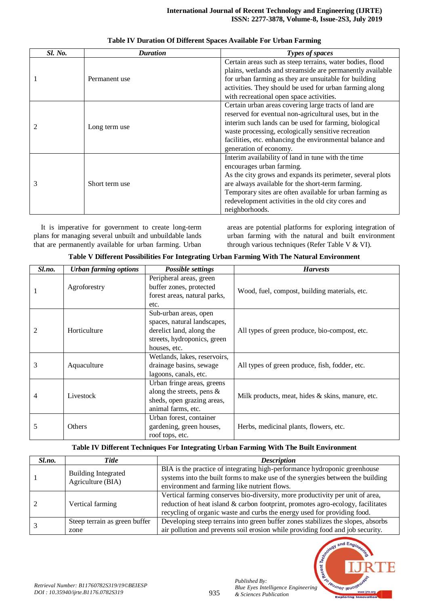| <b>Sl. No.</b> | <b>Duration</b> | Types of spaces                                            |
|----------------|-----------------|------------------------------------------------------------|
|                |                 | Certain areas such as steep terrains, water bodies, flood  |
|                |                 | plains, wetlands and streamside are permanently available  |
|                | Permanent use   | for urban farming as they are unsuitable for building      |
|                |                 | activities. They should be used for urban farming along    |
|                |                 | with recreational open space activities.                   |
|                |                 | Certain urban areas covering large tracts of land are      |
|                |                 | reserved for eventual non-agricultural uses, but in the    |
|                | Long term use   | interim such lands can be used for farming, biological     |
|                |                 | waste processing, ecologically sensitive recreation        |
|                |                 | facilities, etc. enhancing the environmental balance and   |
|                |                 | generation of economy.                                     |
|                |                 | Interim availability of land in tune with the time         |
|                |                 | encourages urban farming.                                  |
|                |                 | As the city grows and expands its perimeter, several plots |
|                | Short term use  | are always available for the short-term farming.           |
|                |                 | Temporary sites are often available for urban farming as   |
|                |                 | redevelopment activities in the old city cores and         |
|                |                 | neighborhoods.                                             |

**Table IV Duration Of Different Spaces Available For Urban Farming**

It is imperative for government to create long-term plans for managing several unbuilt and unbuildable lands that are permanently available for urban farming. Urban

areas are potential platforms for exploring integration of urban farming with the natural and built environment through various techniques (Refer Table V & VI).

|  |  |  | Table V Different Possibilities For Integrating Urban Farming With The Natural Environment |
|--|--|--|--------------------------------------------------------------------------------------------|
|  |  |  |                                                                                            |
|  |  |  |                                                                                            |

| Sl.no. | <b>Urban farming options</b> | <b>Possible settings</b>                                                                                                        | <b>Harvests</b>                                  |
|--------|------------------------------|---------------------------------------------------------------------------------------------------------------------------------|--------------------------------------------------|
|        | Agroforestry                 | Peripheral areas, green<br>buffer zones, protected<br>forest areas, natural parks,<br>etc.                                      | Wood, fuel, compost, building materials, etc.    |
| 2      | Horticulture                 | Sub-urban areas, open<br>spaces, natural landscapes,<br>derelict land, along the<br>streets, hydroponics, green<br>houses, etc. | All types of green produce, bio-compost, etc.    |
| 3      | Aquaculture                  | Wetlands, lakes, reservoirs,<br>drainage basins, sewage<br>lagoons, canals, etc.                                                | All types of green produce, fish, fodder, etc.   |
| 4      | Livestock                    | Urban fringe areas, greens<br>along the streets, pens $\&$<br>sheds, open grazing areas,<br>animal farms, etc.                  | Milk products, meat, hides & skins, manure, etc. |
| 5      | Others                       | Urban forest, container<br>gardening, green houses,<br>roof tops, etc.                                                          | Herbs, medicinal plants, flowers, etc.           |

#### **Table IV Different Techniques For Integrating Urban Farming With The Built Environment**

| Sl.no. | <b>Title</b>                                    | <b>Description</b>                                                                                                                                          |
|--------|-------------------------------------------------|-------------------------------------------------------------------------------------------------------------------------------------------------------------|
|        | <b>Building Integrated</b><br>Agriculture (BIA) | BIA is the practice of integrating high-performance hydroponic greenhouse<br>systems into the built forms to make use of the synergies between the building |
|        |                                                 | environment and farming like nutrient flows.                                                                                                                |
|        |                                                 | Vertical farming conserves bio-diversity, more productivity per unit of area,                                                                               |
|        | Vertical farming                                | reduction of heat island & carbon footprint, promotes agro-ecology, facilitates                                                                             |
|        |                                                 | recycling of organic waste and curbs the energy used for providing food.                                                                                    |
|        | Steep terrain as green buffer                   | Developing steep terrains into green buffer zones stabilizes the slopes, absorbs                                                                            |
|        | zone                                            | air pollution and prevents soil erosion while providing food and job security.                                                                              |



*Published By:*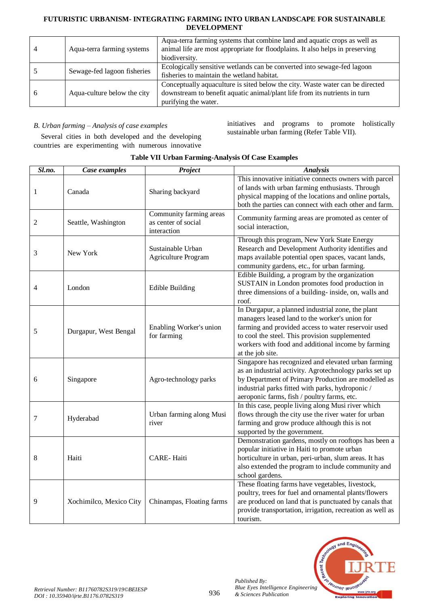| Aqua-terra farming systems  | Aqua-terra farming systems that combine land and aquatic crops as well as<br>animal life are most appropriate for floodplains. It also helps in preserving<br>biodiversity.         |
|-----------------------------|-------------------------------------------------------------------------------------------------------------------------------------------------------------------------------------|
| Sewage-fed lagoon fisheries | Ecologically sensitive wetlands can be converted into sewage-fed lagoon<br>fisheries to maintain the wetland habitat.                                                               |
| Aqua-culture below the city | Conceptually aquaculture is sited below the city. Waste water can be directed<br>downstream to benefit aquatic animal/plant life from its nutrients in turn<br>purifying the water. |

# *B. Urban farming – Analysis of case examples*

initiatives and programs to promote holistically sustainable urban farming (Refer Table VII).

Several cities in both developed and the developing countries are experimenting with numerous innovative

| Sl.no. | Case examples           | Project                                                       | <b>Analysis</b>                                                                                                                                                                                                                                                                        |
|--------|-------------------------|---------------------------------------------------------------|----------------------------------------------------------------------------------------------------------------------------------------------------------------------------------------------------------------------------------------------------------------------------------------|
| 1      | Canada                  | Sharing backyard                                              | This innovative initiative connects owners with parcel<br>of lands with urban farming enthusiasts. Through<br>physical mapping of the locations and online portals,<br>both the parties can connect with each other and farm.                                                          |
| 2      | Seattle, Washington     | Community farming areas<br>as center of social<br>interaction | Community farming areas are promoted as center of<br>social interaction,                                                                                                                                                                                                               |
| 3      | New York                | Sustainable Urban<br>Agriculture Program                      | Through this program, New York State Energy<br>Research and Development Authority identifies and<br>maps available potential open spaces, vacant lands,<br>community gardens, etc., for urban farming.                                                                                 |
| 4      | London                  | <b>Edible Building</b>                                        | Edible Building, a program by the organization<br>SUSTAIN in London promotes food production in<br>three dimensions of a building- inside, on, walls and<br>roof.                                                                                                                      |
| 5      | Durgapur, West Bengal   | Enabling Worker's union<br>for farming                        | In Durgapur, a planned industrial zone, the plant<br>managers leased land to the worker's union for<br>farming and provided access to water reservoir used<br>to cool the steel. This provision supplemented<br>workers with food and additional income by farming<br>at the job site. |
| 6      | Singapore               | Agro-technology parks                                         | Singapore has recognized and elevated urban farming<br>as an industrial activity. Agrotechnology parks set up<br>by Department of Primary Production are modelled as<br>industrial parks fitted with parks, hydroponic /<br>aeroponic farms, fish / poultry farms, etc.                |
| 7      | Hyderabad               | Urban farming along Musi<br>river                             | In this case, people living along Musi river which<br>flows through the city use the river water for urban<br>farming and grow produce although this is not<br>supported by the government.                                                                                            |
| 8      | Haiti                   | <b>CARE-Haiti</b>                                             | Demonstration gardens, mostly on rooftops has been a<br>popular initiative in Haiti to promote urban<br>horticulture in urban, peri-urban, slum areas. It has<br>also extended the program to include community and<br>school gardens.                                                 |
| 9      | Xochimilco, Mexico City | Chinampas, Floating farms                                     | These floating farms have vegetables, livestock,<br>poultry, trees for fuel and ornamental plants/flowers<br>are produced on land that is punctuated by canals that<br>provide transportation, irrigation, recreation as well as<br>tourism.                                           |

# **Table VII Urban Farming-Analysis Of Case Examples**



*Published By:*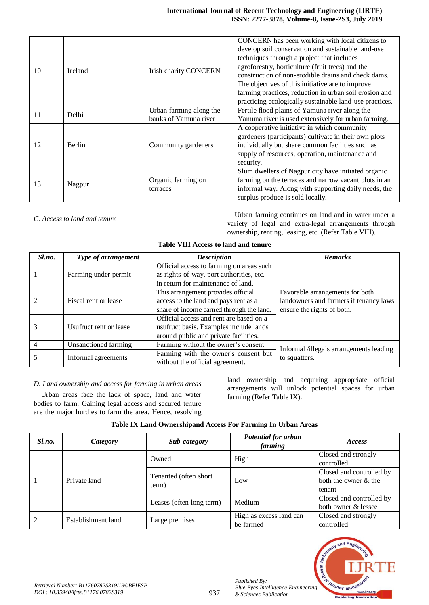| 10 | Ireland       | <b>Irish charity CONCERN</b>   | CONCERN has been working with local citizens to<br>develop soil conservation and sustainable land-use<br>techniques through a project that includes<br>agroforestry, horticulture (fruit trees) and the<br>construction of non-erodible drains and check dams.<br>The objectives of this initiative are to improve<br>farming practices, reduction in urban soil erosion and<br>practicing ecologically sustainable land-use practices. |  |
|----|---------------|--------------------------------|-----------------------------------------------------------------------------------------------------------------------------------------------------------------------------------------------------------------------------------------------------------------------------------------------------------------------------------------------------------------------------------------------------------------------------------------|--|
| 11 | Delhi         | Urban farming along the        | Fertile flood plains of Yamuna river along the                                                                                                                                                                                                                                                                                                                                                                                          |  |
|    |               | banks of Yamuna river          | Yamuna river is used extensively for urban farming.                                                                                                                                                                                                                                                                                                                                                                                     |  |
| 12 | <b>Berlin</b> | Community gardeners            | A cooperative initiative in which community<br>gardeners (participants) cultivate in their own plots<br>individually but share common facilities such as<br>supply of resources, operation, maintenance and<br>security.                                                                                                                                                                                                                |  |
| 13 | Nagpur        | Organic farming on<br>terraces | Slum dwellers of Nagpur city have initiated organic<br>farming on the terraces and narrow vacant plots in an<br>informal way. Along with supporting daily needs, the<br>surplus produce is sold locally.                                                                                                                                                                                                                                |  |

*C. Access to land and tenure* Urban farming continues on land and in water under a variety of legal and extra-legal arrangements through ownership, renting, leasing, etc. (Refer Table VIII).

| <b>Table VIII Access to land and tenure</b> |  |  |
|---------------------------------------------|--|--|
|                                             |  |  |

| Sl.no. | Type of arrangement    | <b>Description</b>                       | <b>Remarks</b>                                                       |  |
|--------|------------------------|------------------------------------------|----------------------------------------------------------------------|--|
|        |                        | Official access to farming on areas such |                                                                      |  |
|        | Farming under permit   | as rights-of-way, port authorities, etc. |                                                                      |  |
|        |                        | in return for maintenance of land.       |                                                                      |  |
|        |                        | This arrangement provides official       | Favorable arrangements for both                                      |  |
| 2      | Fiscal rent or lease   | access to the land and pays rent as a    | landowners and farmers if tenancy laws<br>ensure the rights of both. |  |
|        |                        | share of income earned through the land. |                                                                      |  |
|        |                        | Official access and rent are based on a  |                                                                      |  |
|        | Usufruct rent or lease | usufruct basis. Examples include lands   |                                                                      |  |
|        |                        | around public and private facilities.    |                                                                      |  |
| 4      | Unsanctioned farming   | Farming without the owner's consent      | Informal /illegals arrangements leading                              |  |
|        |                        | Farming with the owner's consent but     |                                                                      |  |
|        | Informal agreements    | without the official agreement.          | to squatters.                                                        |  |

# *D. Land ownership and access for farming in urban areas*

Urban areas face the lack of space, land and water bodies to farm. Gaining legal access and secured tenure are the major hurdles to farm the area. Hence, resolving land ownership and acquiring appropriate official arrangements will unlock potential spaces for urban farming (Refer Table IX).

| Sl.no. | Category           | Sub-category                    | Potential for urban<br>farming | <i>Access</i>            |
|--------|--------------------|---------------------------------|--------------------------------|--------------------------|
|        | Private land       | Owned                           | High                           | Closed and strongly      |
|        |                    |                                 |                                | controlled               |
|        |                    | Tenanted (often short)<br>term) |                                | Closed and controlled by |
|        |                    |                                 | Low                            | both the owner & the     |
|        |                    |                                 |                                | tenant                   |
|        |                    | Leases (often long term)        | Medium                         | Closed and controlled by |
|        |                    |                                 |                                | both owner & lessee      |
| 2      |                    | Large premises                  | High as excess land can        | Closed and strongly      |
|        | Establishment land |                                 | be farmed                      | controlled               |

# **Table IX Land Ownershipand Access For Farming In Urban Areas**



*Published By:*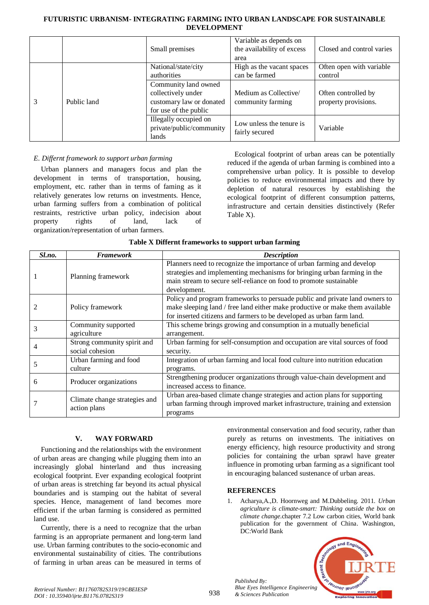|   |             | Small premises                                                                                  | Variable as depends on<br>the availability of excess<br>area | Closed and control varies                   |
|---|-------------|-------------------------------------------------------------------------------------------------|--------------------------------------------------------------|---------------------------------------------|
| 3 | Public land | National/state/city<br>authorities                                                              | High as the vacant spaces<br>can be farmed                   | Often open with variable<br>control         |
|   |             | Community land owned<br>collectively under<br>customary law or donated<br>for use of the public | Medium as Collective<br>community farming                    | Often controlled by<br>property provisions. |
|   |             | Illegally occupied on<br>private/public/community<br>lands                                      | Low unless the tenure is<br>fairly secured                   | Variable                                    |

# *E. Differnt framework to support urban farming*

Urban planners and managers focus and plan the development in terms of transportation, housing, employment, etc. rather than in terms of faming as it relatively generates low returns on investments. Hence, urban farming suffers from a combination of political restraints, restrictive urban policy, indecision about property rights of land, lack of organization/representation of urban farmers.

Ecological footprint of urban areas can be potentially reduced if the agenda of urban farming is combined into a comprehensive urban policy. It is possible to develop policies to reduce environmental impacts and there by depletion of natural resources by establishing the ecological footprint of different consumption patterns, infrastructure and certain densities distinctively (Refer Table X).

|  | Table X Differnt frameworks to support urban farming |  |  |
|--|------------------------------------------------------|--|--|
|  |                                                      |  |  |

| Sl.no. | <b>Framework</b>                                                                           | <b>Description</b>                                                           |
|--------|--------------------------------------------------------------------------------------------|------------------------------------------------------------------------------|
|        |                                                                                            | Planners need to recognize the importance of urban farming and develop       |
|        | Planning framework                                                                         | strategies and implementing mechanisms for bringing urban farming in the     |
|        |                                                                                            | main stream to secure self-reliance on food to promote sustainable           |
|        |                                                                                            | development.                                                                 |
|        |                                                                                            | Policy and program frameworks to persuade public and private land owners to  |
|        | Policy framework                                                                           | make sleeping land / free land either make productive or make them available |
|        |                                                                                            | for inserted citizens and farmers to be developed as urban farm land.        |
| 3      | This scheme brings growing and consumption in a mutually beneficial<br>Community supported |                                                                              |
|        | agriculture                                                                                | arrangement.                                                                 |
|        | Strong community spirit and                                                                | Urban farming for self-consumption and occupation are vital sources of food  |
|        | social cohesion                                                                            | security.                                                                    |
|        | Urban farming and food                                                                     | Integration of urban farming and local food culture into nutrition education |
|        | culture                                                                                    | programs.                                                                    |
| 6      | Producer organizations                                                                     | Strengthening producer organizations through value-chain development and     |
|        |                                                                                            | increased access to finance.                                                 |
|        | Climate change strategies and<br>action plans                                              | Urban area-based climate change strategies and action plans for supporting   |
|        |                                                                                            | urban farming through improved market infrastructure, training and extension |
|        |                                                                                            | programs                                                                     |

# **V. WAY FORWARD**

Functioning and the relationships with the environment of urban areas are changing while plugging them into an increasingly global hinterland and thus increasing ecological footprint. Ever expanding ecological footprint of urban areas is stretching far beyond its actual physical boundaries and is stamping out the habitat of several species. Hence, management of land becomes more efficient if the urban farming is considered as permitted land use.

Currently, there is a need to recognize that the urban farming is an appropriate permanent and long-term land use. Urban farming contributes to the socio-economic and environmental sustainability of cities. The contributions of farming in urban areas can be measured in terms of environmental conservation and food security, rather than purely as returns on investments. The initiatives on energy efficiency, high resource productivity and strong policies for containing the urban sprawl have greater influence in promoting urban farming as a significant tool in encouraging balanced sustenance of urban areas.

# **REFERENCES**

1. Acharya,A.,D. Hoornweg and M.Dubbeling. 2011*. Urban agriculture is climate-smart: Thinking outside the box on climate change*.chapter 7.2 Low carbon cities, World bank publication for the government of China. Washington, DC:World Bank



*Published By: Blue Eyes Intelligence Engineering & Sciences Publication*